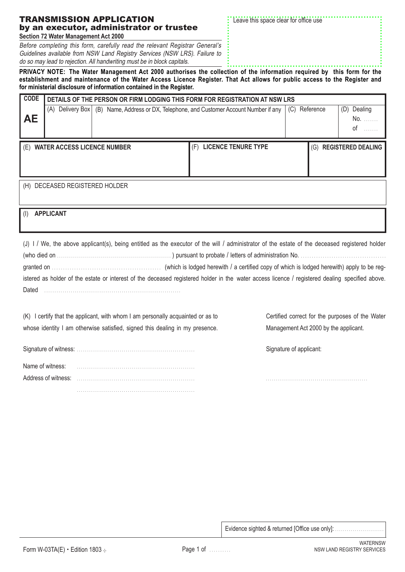|  |  | TRANSMISSION APPLICATION                 |  |  |
|--|--|------------------------------------------|--|--|
|  |  | by an executor, administrator or trustee |  |  |
|  |  | Section 72 Water Management Act 2000     |  |  |

Before completing this form, carefully read the relevant Registrar General's Guidelines available from NSW Land Registry Services (NSW LRS). Failure to do so may lead to rejection. All handwriting must be in block capitals.

Leave this space clear for office use

**PRIVACY NOTE: The Water Management Act 2000 authorises the collection of the information required by this form for the establishment and maintenance of the Water Access Licence Register. That Act allows for public access to the Register and for ministerial disclosure of information contained in the Register.**

| <b>CODE</b> | DETAILS OF THE PERSON OR FIRM LODGING THIS FORM FOR REGISTRATION AT NSW LRS |  |                                                                        |               |     |                           |
|-------------|-----------------------------------------------------------------------------|--|------------------------------------------------------------------------|---------------|-----|---------------------------|
|             | (A) Delivery Box                                                            |  | (B) Name, Address or DX, Telephone, and Customer Account Number if any | (C) Reference |     | (D)<br>Dealing            |
| <b>AE</b>   |                                                                             |  |                                                                        |               |     | No.                       |
|             |                                                                             |  |                                                                        |               |     | 0f                        |
|             | (E) WATER ACCESS LICENCE NUMBER                                             |  | <b>LICENCE TENURE TYPE</b><br>(F)                                      |               | (G) | <b>REGISTERED DEALING</b> |
|             |                                                                             |  |                                                                        |               |     |                           |
|             |                                                                             |  |                                                                        |               |     |                           |
|             | (H) DECEASED REGISTERED HOLDER                                              |  |                                                                        |               |     |                           |
|             |                                                                             |  |                                                                        |               |     |                           |
| (1)         | <b>APPLICANT</b>                                                            |  |                                                                        |               |     |                           |
|             |                                                                             |  |                                                                        |               |     |                           |
|             |                                                                             |  |                                                                        |               |     |                           |

(J) I / We, the above applicant(s), being entitled as the executor of the will / administrator of the estate of the deceased registered holder (who died on . . . . . . . . . . . . . . . . . . . . . . . . . . . . . . . . . . . . . . . . . . . . . . . . . . . . . . . . . ) pursuant to probate / letters of administration No. . . . . . . . . . . . . . . . . . . . . . . . . . . . . . . . . . . . . . . . granted on . . . . . . . . . . . . . . . . . . . . . . . . . . . . . . . . . . . . . . . . . . . . . . . . . (which is lodged herewith / a certified copy of which is lodged herewith) apply to be registered as holder of the estate or interest of the deceased registered holder in the water access licence / registered dealing specified above. Dated . . . . . . . . . . . . . . . . . . . . . . . . . . . . . . . . . . . . . . . . . . . . . . . . . . . . . . . . . . . . . . . . . . .

(K) I certify that the applicant, with whom I am personally acquainted or as to whose identity I am otherwise satisfied, signed this dealing in my presence.

Signature of witness: . . . . . . . . . . . . . . . . . . . . . . . . . . . . . . . . . . . . . . . . . . . . . . . . . . . . . . . . . . Name of witness: . . . . . . . . . . . . . . . . . . . . . . . . . . . . . . . . . . . . . . . . . . . . . . . . . . . . . . . . . . Address of witness: . . . . . . . . . . . . . . . . . . . . . . . . . . . . . . . . . . . . . . . . . . . . . . . . . . . . . . . . . . . . . . . . . . . . . . . . . . . . . . . . . . . . . . . . . . . . . . . . . . . . . . . . . . . . . . . . . . . .

Certified correct for the purposes of the Water Management Act 2000 by the applicant.

Signature of applicant:

. . . . . . . . . . . . . . . . . . . . . . . . . . . . . . . . . . . . . . . . . . . . . . . . . .

Evidence sighted & returned [Office use only]: . . . . . . . . . . . . . . . . . . . . . . . . .